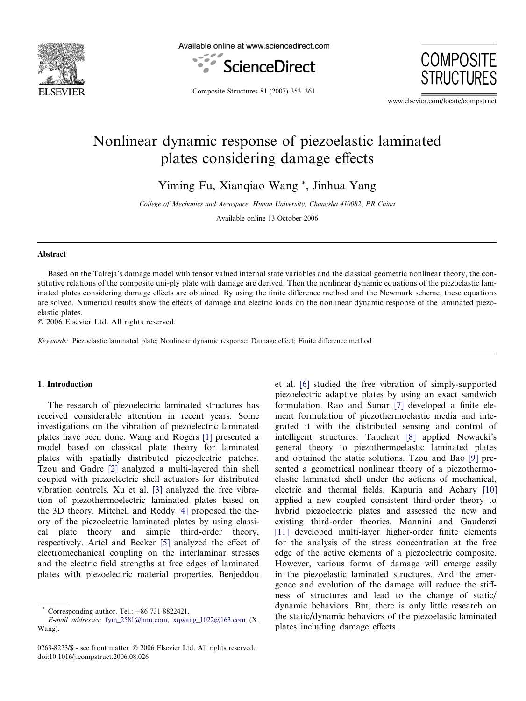

Available online at www.sciencedirect.com



**COMPOSITE STRUCTURES** 

Composite Structures 81 (2007) 353–361

www.elsevier.com/locate/compstruct

# Nonlinear dynamic response of piezoelastic laminated plates considering damage effects

Yiming Fu, Xianqiao Wang \*, Jinhua Yang

College of Mechanics and Aerospace, Hunan University, Changsha 410082, PR China

Available online 13 October 2006

#### Abstract

Based on the Talreja's damage model with tensor valued internal state variables and the classical geometric nonlinear theory, the constitutive relations of the composite uni-ply plate with damage are derived. Then the nonlinear dynamic equations of the piezoelastic laminated plates considering damage effects are obtained. By using the finite difference method and the Newmark scheme, these equations are solved. Numerical results show the effects of damage and electric loads on the nonlinear dynamic response of the laminated piezoelastic plates.

 $© 2006 Elsevier Ltd. All rights reserved.$ 

Keywords: Piezoelastic laminated plate; Nonlinear dynamic response; Damage effect; Finite difference method

# 1. Introduction

The research of piezoelectric laminated structures has received considerable attention in recent years. Some investigations on the vibration of piezoelectric laminated plates have been done. Wang and Rogers [\[1\]](#page-7-0) presented a model based on classical plate theory for laminated plates with spatially distributed piezoelectric patches. Tzou and Gadre [\[2\]](#page-7-0) analyzed a multi-layered thin shell coupled with piezoelectric shell actuators for distributed vibration controls. Xu et al. [\[3\]](#page-7-0) analyzed the free vibration of piezothermoelectric laminated plates based on the 3D theory. Mitchell and Reddy [\[4\]](#page-7-0) proposed the theory of the piezoelectric laminated plates by using classical plate theory and simple third-order theory, respectively. Artel and Becker [\[5\]](#page-7-0) analyzed the effect of electromechanical coupling on the interlaminar stresses and the electric field strengths at free edges of laminated plates with piezoelectric material properties. Benjeddou et al. [\[6\]](#page-7-0) studied the free vibration of simply-supported piezoelectric adaptive plates by using an exact sandwich formulation. Rao and Sunar [\[7\]](#page-8-0) developed a finite element formulation of piezothermoelastic media and integrated it with the distributed sensing and control of intelligent structures. Tauchert [\[8\]](#page-8-0) applied Nowacki's general theory to piezothermoelastic laminated plates and obtained the static solutions. Tzou and Bao [\[9\]](#page-8-0) presented a geometrical nonlinear theory of a piezothermoelastic laminated shell under the actions of mechanical, electric and thermal fields. Kapuria and Achary [\[10\]](#page-8-0) applied a new coupled consistent third-order theory to hybrid piezoelectric plates and assessed the new and existing third-order theories. Mannini and Gaudenzi [\[11\]](#page-8-0) developed multi-layer higher-order finite elements for the analysis of the stress concentration at the free edge of the active elements of a piezoelectric composite. However, various forms of damage will emerge easily in the piezoelastic laminated structures. And the emergence and evolution of the damage will reduce the stiffness of structures and lead to the change of static/ dynamic behaviors. But, there is only little research on the static/dynamic behaviors of the piezoelastic laminated plates including damage effects.

Corresponding author. Tel.: +86 731 8822421.

E-mail addresses: [fym\\_2581@hnu.com](mailto:fym_2581@hnu.com), [xqwang\\_1022@163.com](mailto:xqwang_1022@163.com) (X. Wang).

<sup>0263-8223/\$ -</sup> see front matter © 2006 Elsevier Ltd. All rights reserved. doi:10.1016/j.compstruct.2006.08.026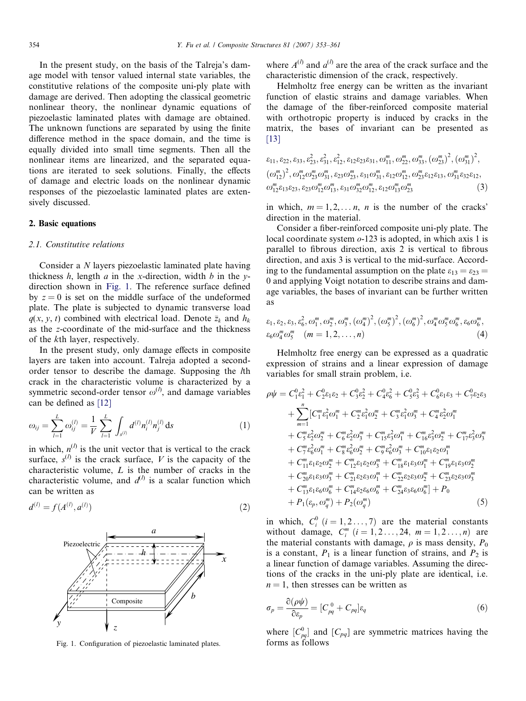<span id="page-1-0"></span>In the present study, on the basis of the Talreja's damage model with tensor valued internal state variables, the constitutive relations of the composite uni-ply plate with damage are derived. Then adopting the classical geometric nonlinear theory, the nonlinear dynamic equations of piezoelastic laminated plates with damage are obtained. The unknown functions are separated by using the finite difference method in the space domain, and the time is equally divided into small time segments. Then all the nonlinear items are linearized, and the separated equations are iterated to seek solutions. Finally, the effects of damage and electric loads on the nonlinear dynamic responses of the piezoelastic laminated plates are extensively discussed.

# 2. Basic equations

#### 2.1. Constitutive relations

Consider a N layers piezoelastic laminated plate having thickness h, length a in the x-direction, width b in the ydirection shown in Fig. 1. The reference surface defined by  $z = 0$  is set on the middle surface of the undeformed plate. The plate is subjected to dynamic transverse load  $q(x, y, t)$  combined with electrical load. Denote  $\bar{z}_k$  and  $h_k$ as the z-coordinate of the mid-surface and the thickness of the kth layer, respectively.

In the present study, only damage effects in composite layers are taken into account. Talreja adopted a secondorder tensor to describe the damage. Supposing the lth crack in the characteristic volume is characterized by a symmetric second-order tensor  $\omega^{(l)}$ , and damage variables can be defined as [\[12\]](#page-8-0)

$$
\omega_{ij} = \sum_{l=1}^{L} \omega_{ij}^{(l)} = \frac{1}{V} \sum_{l=1}^{L} \int_{s^{(l)}} d^{(l)} n_i^{(l)} n_j^{(l)} ds \qquad (1)
$$

in which,  $n^{(l)}$  is the unit vector that is vertical to the crack surface,  $s^{(l)}$  is the crack surface, V is the capacity of the characteristic volume, L is the number of cracks in the characteristic volume, and  $d^{(l)}$  is a scalar function which can be written as

$$
d^{(l)} = f(A^{(l)}, a^{(l)})
$$
\n(2)



Fig. 1. Configuration of piezoelastic laminated plates.

where  $A^{(l)}$  and  $a^{(l)}$  are the area of the crack surface and the characteristic dimension of the crack, respectively.

Helmholtz free energy can be written as the invariant function of elastic strains and damage variables. When the damage of the fiber-reinforced composite material with orthotropic property is induced by cracks in the matrix, the bases of invariant can be presented as [\[13\]](#page-8-0)

$$
\varepsilon_{11}, \varepsilon_{22}, \varepsilon_{33}, \varepsilon_{23}^2, \varepsilon_{31}^2, \varepsilon_{12}^2, \varepsilon_{12}^2 \varepsilon_{23} \varepsilon_{31}, \omega_{11}^m, \omega_{22}^m, \omega_{33}^m, (\omega_{23}^m)^2, (\omega_{31}^m)^2, (\omega_{12}^m)^2, \omega_{12}^m \omega_{23}^m \omega_{31}^m, \varepsilon_{23} \omega_{23}^m, \varepsilon_{31} \omega_{31}^m, \varepsilon_{12} \omega_{12}^m, \omega_{23}^m \varepsilon_{12} \varepsilon_{13}, \omega_{31}^m \varepsilon_{32} \varepsilon_{12}, \omega_{12}^m \varepsilon_{13} \varepsilon_{23}, \varepsilon_{23} \omega_{12}^m \omega_{13}^m, \varepsilon_{31} \omega_{32}^m \omega_{12}^m, \varepsilon_{12} \omega_{13}^m \omega_{23}^m
$$
 (3)

in which,  $m = 1, 2, \ldots, n$ , *n* is the number of the cracks' direction in the material.

Consider a fiber-reinforced composite uni-ply plate. The local coordinate system  $o-123$  is adopted, in which axis 1 is parallel to fibrous direction, axis 2 is vertical to fibrous direction, and axis 3 is vertical to the mid-surface. According to the fundamental assumption on the plate  $\varepsilon_{13} = \varepsilon_{23} =$ 0 and applying Voigt notation to describe strains and damage variables, the bases of invariant can be further written as

$$
\varepsilon_1, \varepsilon_2, \varepsilon_3, \varepsilon_6^2, \omega_1^m, \omega_2^m, \omega_3^m, (\omega_4^m)^2, (\omega_5^m)^2, (\omega_6^m)^2, \omega_4^m \omega_5^m \omega_6^m, \varepsilon_6 \omega_6^m, \varepsilon_6 \omega_4^m \omega_5^m \quad (m = 1, 2, ..., n)
$$
\n(4)

Helmholtz free energy can be expressed as a quadratic expression of strains and a linear expression of damage variables for small strain problem, i.e.

$$
\rho\psi = C_1^0 \varepsilon_1^2 + C_2^0 \varepsilon_1 \varepsilon_2 + C_3^0 \varepsilon_2^2 + C_4^0 \varepsilon_6^2 + C_5^0 \varepsilon_3^2 + C_6^0 \varepsilon_1 \varepsilon_3 + C_7^0 \varepsilon_2 \varepsilon_3 + \sum_{m=1}^n [C_1^m \varepsilon_1^2 \omega_1^m + C_2^m \varepsilon_1^2 \omega_2^m + C_3^m \varepsilon_1^2 \omega_3^m + C_4^m \varepsilon_2^2 \omega_1^m + C_5^m \varepsilon_2^2 \omega_2^m + C_6^m \varepsilon_2^2 \omega_3^m + C_{15}^m \varepsilon_3^2 \omega_1^m + C_{16}^m \varepsilon_3^2 \omega_2^m + C_{17}^m \varepsilon_3^2 \omega_3^m + C_7^m \varepsilon_6^2 \omega_1^m + C_8^m \varepsilon_6^2 \omega_2^m + C_9^m \varepsilon_6^2 \omega_3^m + C_{10}^m \varepsilon_1 \varepsilon_2 \omega_1^m + C_{11}^m \varepsilon_1 \varepsilon_2 \omega_2^m + C_{12}^m \varepsilon_1 \varepsilon_2 \omega_3^m + C_{18}^m \varepsilon_1 \varepsilon_3 \omega_1^m + C_{19}^m \varepsilon_1 \varepsilon_3 \omega_2^m + C_{20}^m \varepsilon_1 \varepsilon_3 \omega_3^m + C_{21}^m \varepsilon_2 \varepsilon_3 \omega_1^m + C_{22}^m \varepsilon_2 \varepsilon_3 \omega_2^m + C_{23}^m \varepsilon_2 \varepsilon_3 \omega_3^m + C_{13}^m \varepsilon_1 \varepsilon_6 \omega_6^m + C_{14}^m \varepsilon_2 \varepsilon_6 \omega_6^m + C_{24}^m \varepsilon_3 \varepsilon_6 \omega_6^m ] + P_0 + P_1(\varepsilon_p, \omega_q^m) + P_2(\omega_q^m)
$$
 (5)

in which,  $C_i^0$  ( $i = 1, 2, ..., 7$ ) are the material constants without damage,  $C_i^m$   $(i = 1, 2, ..., 24, m = 1, 2, ..., n)$  are the material constants with damage,  $\rho$  is mass density,  $P_0$ is a constant,  $P_1$  is a linear function of strains, and  $P_2$  is a linear function of damage variables. Assuming the directions of the cracks in the uni-ply plate are identical, i.e.  $n = 1$ , then stresses can be written as

$$
\sigma_p = \frac{\partial(\rho \psi)}{\partial \varepsilon_p} = [C_{pq}^0 + C_{pq}] \varepsilon_q \tag{6}
$$

where  $[C_{pq}^0]$  and  $[C_{pq}]$  are symmetric matrices having the forms as follows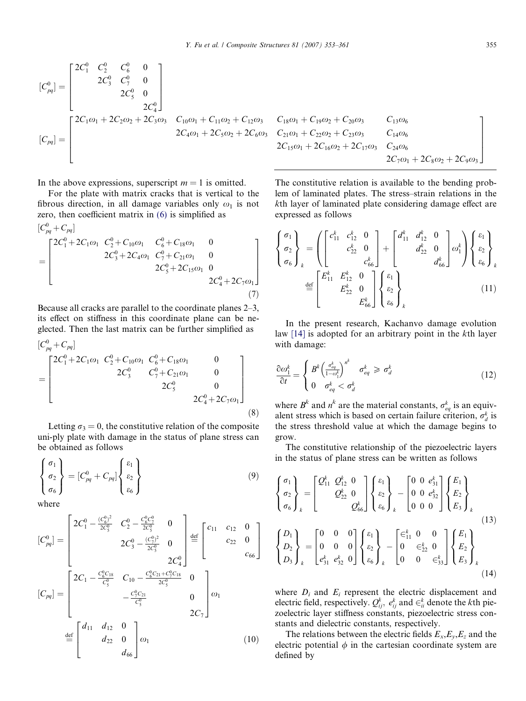<span id="page-2-0"></span>
$$
[C_{pq}^{0}] = \begin{bmatrix} 2C_1^0 & C_2^0 & C_6^0 & 0 \\ & 2C_3^0 & C_7^0 & 0 \\ & & 2C_4^0 & 0 \\ & & & 2C_4^0 \end{bmatrix}
$$
  
\n
$$
[C_{pq}] = \begin{bmatrix} 2C_1\omega_1 + 2C_2\omega_2 + 2C_3\omega_3 & C_{10}\omega_1 + C_{11}\omega_2 + C_{12}\omega_3 & C_{18}\omega_1 + C_{19}\omega_2 + C_{20}\omega_3 & C_{13}\omega_6 \\ & & 2C_4\omega_1 + 2C_5\omega_2 + 2C_6\omega_3 & C_{21}\omega_1 + C_{22}\omega_2 + C_{23}\omega_3 & C_{14}\omega_6 \\ & & 2C_{15}\omega_1 + 2C_{16}\omega_2 + 2C_{17}\omega_3 & C_{24}\omega_6 \\ & & 2C_7\omega_1 + 2C_8\omega_2 + 2C_9\omega_3 \end{bmatrix}
$$

In the above expressions, superscript  $m = 1$  is omitted.

For the plate with matrix cracks that is vertical to the fibrous direction, in all damage variables only  $\omega_1$  is not zero, then coefficient matrix in [\(6\)](#page-1-0) is simplified as  $[C_{pq}^0+C_{pq}]$ 

$$
= \begin{bmatrix} 2C_1^0 + 2C_1\omega_1 & C_2^0 + C_{10}\omega_1 & C_6^0 + C_{18}\omega_1 & 0 \\ & 2C_3^0 + 2C_4\omega_1 & C_7^0 + C_{21}\omega_1 & 0 \\ & & 2C_5^0 + 2C_{15}\omega_1 & 0 \\ & & & 2C_4^0 + 2C_7\omega_1 \end{bmatrix}
$$
(7)

Because all cracks are parallel to the coordinate planes 2–3, its effect on stiffness in this coordinate plane can be neglected. Then the last matrix can be further simplified as

$$
\begin{aligned} [C_{pq}^{0} + C_{pq}] \\ &= \begin{bmatrix} 2C_{1}^{0} + 2C_{1}\omega_{1} & C_{2}^{0} + C_{10}\omega_{1} & C_{6}^{0} + C_{18}\omega_{1} & 0 \\ 2C_{3}^{0} & C_{7}^{0} + C_{21}\omega_{1} & 0 \\ 2C_{5}^{0} & 0 \\ 2C_{4}^{0} + 2C_{7}\omega_{1} \end{bmatrix} \end{aligned} \tag{8}
$$

Letting  $\sigma_3 = 0$ , the constitutive relation of the composite uni-ply plate with damage in the status of plane stress can be obtained as follows

$$
\begin{Bmatrix} \sigma_1 \\ \sigma_2 \\ \sigma_6 \end{Bmatrix} = [C_{pq}^0 + C_{pq}] \begin{Bmatrix} \varepsilon_1 \\ \varepsilon_2 \\ \varepsilon_6 \end{Bmatrix}
$$
 (9)

where

$$
[C_{pq}^{0}] = \begin{bmatrix} 2C_{1}^{0} - \frac{(C_{6}^{0})^{2}}{2C_{5}^{0}} & C_{2}^{0} - \frac{C_{6}^{0}C_{7}^{0}}{2C_{5}^{0}} & 0 \\ 2C_{3}^{0} - \frac{(C_{7}^{0})^{2}}{2C_{5}^{0}} & 0 \end{bmatrix} \stackrel{\text{def}}{=} \begin{bmatrix} c_{11} & c_{12} & 0 \\ c_{22} & 0 \\ c_{66} \end{bmatrix}
$$

$$
[C_{pq}] = \begin{bmatrix} 2C_{1} - \frac{C_{6}^{0}C_{18}}{C_{5}^{0}} & C_{10} - \frac{C_{6}^{0}C_{21} + C_{7}^{0}C_{18}}{2C_{5}^{0}} & 0 \\ -\frac{C_{7}^{0}C_{21}}{C_{5}^{0}} & 0 \end{bmatrix} \omega_{1}
$$

$$
\stackrel{\text{def}}{=} \begin{bmatrix} d_{11} & d_{12} & 0 \\ d_{22} & 0 \\ d_{66} \end{bmatrix} \omega_{1}
$$
(10)

The constitutive relation is available to the bending problem of laminated plates. The stress–strain relations in the kth layer of laminated plate considering damage effect are expressed as follows

$$
\begin{Bmatrix}\n\sigma_1 \\
\sigma_2 \\
\sigma_6\n\end{Bmatrix}_k = \left( \begin{bmatrix}\n c_{11}^k & c_{12}^k & 0 \\
 & c_{22}^k & 0 \\
 & & c_{66}^k\n\end{bmatrix} + \begin{bmatrix}\n d_{11}^k & d_{12}^k & 0 \\
 & d_{22}^k & 0 \\
 & & d_{66}^k\n\end{bmatrix} \right) \begin{Bmatrix}\n\varepsilon_1 \\
\varepsilon_2 \\
\varepsilon_6\n\end{Bmatrix}_k
$$
\n
$$
\stackrel{\text{def}}{=} \begin{bmatrix}\nE_{11}^k & E_{12}^k & 0 \\
 & E_{22}^k & 0 \\
 & & E_{66}^k\n\end{bmatrix} \begin{Bmatrix}\n\varepsilon_1 \\
\varepsilon_2 \\
\varepsilon_6\n\end{Bmatrix}_k
$$
\n
$$
(11)
$$

In the present research, Kachanvo damage evolution law [\[14\]](#page-8-0) is adopted for an arbitrary point in the kth layer with damage:

$$
\frac{\partial \omega_1^k}{\partial t} = \begin{cases} B^k \left( \frac{\sigma_{eq}^k}{1 - \omega_1^k} \right)^{n^k} & \sigma_{eq}^k \ge \sigma_d^k \\ 0 & \sigma_{eq}^k < \sigma_d^k \end{cases} \tag{12}
$$

where  $B^k$  and  $n^k$  are the material constants,  $\sigma_{eq}^k$  is an equivalent stress which is based on certain failure criterion,  $\sigma_d^k$  is the stress threshold value at which the damage begins to grow.

The constitutive relationship of the piezoelectric layers in the status of plane stress can be written as follows

$$
\begin{Bmatrix}\n\sigma_1 \\
\sigma_2 \\
\sigma_6\n\end{Bmatrix}_k = \begin{bmatrix}\nQ_{11}^k & Q_{12}^k & 0 \\
Q_{22}^k & 0 & Q_{66}^k\n\end{bmatrix}\n\begin{Bmatrix}\n\varepsilon_1 \\
\varepsilon_2 \\
\varepsilon_6\n\end{Bmatrix}_k - \begin{bmatrix}\n0 & 0 & e_{31}^k \\
0 & 0 & e_{32}^k \\
0 & 0 & 0\n\end{bmatrix}\n\begin{Bmatrix}\nE_1 \\
E_2 \\
E_3\n\end{Bmatrix}_k
$$
\n(13)\n
$$
\begin{Bmatrix}\nD_1 \\
D_2 \\
D_3\n\end{Bmatrix}_k = \begin{bmatrix}\n0 & 0 & 0 \\
0 & 0 & 0 \\
e_{31}^k & e_{32}^k & 0\n\end{bmatrix}\n\begin{Bmatrix}\n\varepsilon_1 \\
\varepsilon_2 \\
\varepsilon_6\n\end{Bmatrix}_k - \begin{bmatrix}\n\varepsilon_{11}^k & 0 & 0 \\
0 & \varepsilon_{22}^k & 0 \\
0 & 0 & \varepsilon_{33}^k\n\end{bmatrix}\n\begin{Bmatrix}\nE_1 \\
E_2 \\
E_3\n\end{Bmatrix}_k
$$
\n(14)

where  $D_i$  and  $E_i$  represent the electric displacement and electric field, respectively.  $Q_{ij}^k$ ,  $e_{ij}^k$  and  $\in_{ii}^k$  denote the *k*th piezoelectric layer stiffness constants, piezoelectric stress constants and dielectric constants, respectively.

The relations between the electric fields  $E_x, E_y, E_z$  and the electric potential  $\phi$  in the cartesian coordinate system are defined by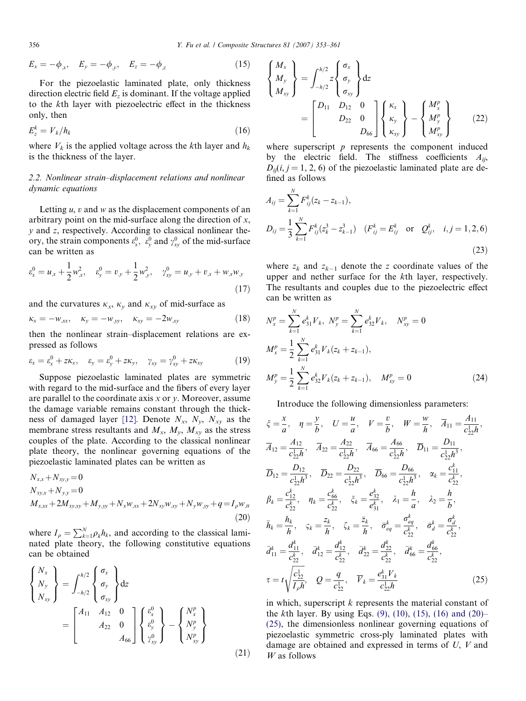$$
E_x = -\phi_{,x}, \quad E_y = -\phi_{,y}, \quad E_z = -\phi_{,z} \tag{15}
$$

For the piezoelastic laminated plate, only thickness direction electric field  $E<sub>z</sub>$  is dominant. If the voltage applied to the kth layer with piezoelectric effect in the thickness only, then

$$
E_z^k = V_k / h_k \tag{16}
$$

where  $V_k$  is the applied voltage across the kth layer and  $h_k$ is the thickness of the layer.

# 2.2. Nonlinear strain–displacement relations and nonlinear dynamic equations

Letting  $u$ ,  $v$  and  $w$  as the displacement components of an arbitrary point on the mid-surface along the direction of  $x$ , y and z, respectively. According to classical nonlinear theory, the strain components  $\varepsilon_x^0$ ,  $\varepsilon_y^0$  and  $\gamma_{xy}^0$  of the mid-surface can be written as

$$
\varepsilon_{x}^{0} = u_{,x} + \frac{1}{2}w_{,x}^{2}, \quad \varepsilon_{y}^{0} = v_{,y} + \frac{1}{2}w_{,y}^{2}, \quad \gamma_{xy}^{0} = u_{,y} + v_{,x} + w_{,x}w_{,y}
$$
\n(17)

and the curvatures  $\kappa_x$ ,  $\kappa_y$  and  $\kappa_{xy}$  of mid-surface as

$$
\kappa_x = -w_{,xx}, \quad \kappa_y = -w_{,yy}, \quad \kappa_{xy} = -2w_{,xy}
$$
 (18)

then the nonlinear strain–displacement relations are expressed as follows

$$
\varepsilon_x = \varepsilon_x^0 + z\kappa_x, \quad \varepsilon_y = \varepsilon_y^0 + z\kappa_y, \quad \gamma_{xy} = \gamma_{xy}^0 + z\kappa_{xy}
$$
 (19)

Suppose piezoelastic laminated plates are symmetric with regard to the mid-surface and the fibers of every layer are parallel to the coordinate axis  $x$  or  $y$ . Moreover, assume the damage variable remains constant through the thick-ness of damaged layer [\[12\].](#page-8-0) Denote  $N_x$ ,  $N_y$ ,  $N_{xy}$  as the membrane stress resultants and  $M_x$ ,  $M_y$ ,  $M_{xy}$  as the stress couples of the plate. According to the classical nonlinear plate theory, the nonlinear governing equations of the piezoelastic laminated plates can be written as

$$
N_{x,x} + N_{xy,y} = 0
$$
  
\n
$$
N_{xy,x} + N_{y,y} = 0
$$
  
\n
$$
M_{x,xx} + 2M_{xy,xy} + M_{y,yy} + N_x w_{,xx} + 2N_{xy} w_{,xy} + N_y w_{,yy} + q = I_{\rho} w_{,tt}
$$
\n(20)

where  $I_{\rho} = \sum_{k=1}^{N} \rho_k h_k$ , and according to the classical laminated plate theory, the following constitutive equations can be obtained

$$
\begin{Bmatrix} N_x \\ N_y \\ N_{xy} \end{Bmatrix} = \int_{-h/2}^{h/2} \begin{Bmatrix} \sigma_x \\ \sigma_y \\ \sigma_{xy} \end{Bmatrix} dz
$$

$$
= \begin{bmatrix} A_{11} & A_{12} & 0 \\ & A_{22} & 0 \\ & & A_{66} \end{bmatrix} \begin{Bmatrix} \varepsilon_y^0 \\ \varepsilon_y^0 \\ \gamma_{xy}^0 \end{Bmatrix} - \begin{Bmatrix} N_x^p \\ N_y^p \\ N_{xy}^p \end{Bmatrix}
$$
(21)

$$
\begin{Bmatrix}\nM_{x} \\
M_{y} \\
M_{xy}\n\end{Bmatrix} = \int_{-h/2}^{h/2} z \begin{Bmatrix}\n\sigma_{x} \\
\sigma_{y} \\
\sigma_{xy}\n\end{Bmatrix} dz\n= \begin{bmatrix}\nD_{11} & D_{12} & 0 \\
D_{22} & 0 \\
D_{66}\n\end{bmatrix} \begin{Bmatrix}\n\kappa_{x} \\
\kappa_{y} \\
\kappa_{xy}\n\end{Bmatrix} - \begin{Bmatrix}\nM_{x}^{p} \\
M_{y}^{p} \\
M_{xy}^{p}\n\end{Bmatrix}
$$
\n(22)

where superscript  $p$  represents the component induced by the electric field. The stiffness coefficients  $A_{ii}$ ,  $D_{ii}(i, j = 1, 2, 6)$  of the piezoelastic laminated plate are defined as follows

$$
A_{ij} = \sum_{k=1}^{N} F_{ij}^{k}(z_k - z_{k-1}),
$$
  
\n
$$
D_{ij} = \frac{1}{3} \sum_{k=1}^{N} F_{ij}^{k}(z_k^3 - z_{k-1}^3) \quad (F_{ij}^{k} = E_{ij}^{k} \quad \text{or} \quad Q_{ij}^{k}, \quad i, j = 1, 2, 6)
$$
\n(23)

where  $z_k$  and  $z_{k-1}$  denote the z coordinate values of the upper and nether surface for the kth layer, respectively. The resultants and couples due to the piezoelectric effect can be written as

$$
N_x^p = \sum_{k=1}^N e_{31}^k V_k, \ N_y^p = \sum_{k=1}^N e_{32}^k V_k, \quad N_{xy}^p = 0
$$
  

$$
M_x^p = \frac{1}{2} \sum_{k=1}^N e_{31}^k V_k (z_k + z_{k-1}),
$$
  

$$
M_y^p = \frac{1}{2} \sum_{k=1}^N e_{32}^k V_k (z_k + z_{k-1}), \quad M_{xy}^p = 0
$$
 (24)

Introduce the following dimensionless parameters:

$$
\xi = \frac{x}{a}, \quad \eta = \frac{y}{b}, \quad U = \frac{u}{a}, \quad V = \frac{v}{b}, \quad W = \frac{w}{h}, \quad \overline{A}_{11} = \frac{A_{11}}{c_{12}^1 h},
$$
\n
$$
\overline{A}_{12} = \frac{A_{12}}{c_{22}^1 h}, \quad \overline{A}_{22} = \frac{A_{22}}{c_{22}^1 h}, \quad \overline{A}_{66} = \frac{A_{66}}{c_{22}^1 h}, \quad \overline{D}_{11} = \frac{D_{11}}{c_{22}^1 h^3},
$$
\n
$$
\overline{D}_{12} = \frac{D_{12}}{c_{22}^1 h^3}, \quad \overline{D}_{22} = \frac{D_{22}}{c_{22}^1 h^3}, \quad \overline{D}_{66} = \frac{D_{66}}{c_{22}^1 h^3}, \quad \alpha_k = \frac{c_{11}^k}{c_{22}^k},
$$
\n
$$
\beta_k = \frac{c_{12}^k}{c_{22}^k}, \quad \eta_k = \frac{c_{66}^k}{c_{22}^k}, \quad \xi_k = \frac{e_{32}^k}{e_{31}^k}, \quad \lambda_1 = \frac{h}{a}, \quad \lambda_2 = \frac{h}{b},
$$
\n
$$
\overline{h}_k = \frac{h_k}{h}, \quad \varsigma_k = \frac{z_k}{h}, \quad \zeta_k = \frac{\overline{z}_k}{h}, \quad \overline{\sigma}_{eq}^k = \frac{\sigma_{eq}^k}{c_{22}^k}, \quad \overline{\sigma}_d^k = \frac{\sigma_d^k}{c_{22}^k},
$$
\n
$$
\overline{d}_{11}^k = \frac{d_{11}^k}{c_{22}^k}, \quad \overline{d}_{12}^k = \frac{d_{12}^k}{c_{22}^k}, \quad \overline{d}_{22}^k = \frac{d_{22}^k}{c_{22}^k}, \quad \overline{d}_{66}^k = \frac{d_{66}^k}{c_{22}^k},
$$
\n
$$
\tau = t \sqrt{\frac{c_{12}^1}{f_\rho h}}, \quad Q = \frac{q}{c_{22}^1}, \quad \over
$$

in which, superscript  $k$  represents the material constant of the kth layer. By using Eqs.  $(9)$ ,  $(10)$ ,  $(15)$ ,  $(16)$  and  $(20)$ – [\(25\)](#page-2-0), the dimensionless nonlinear governing equations of piezoelastic symmetric cross-ply laminated plates with damage are obtained and expressed in terms of U, V and W as follows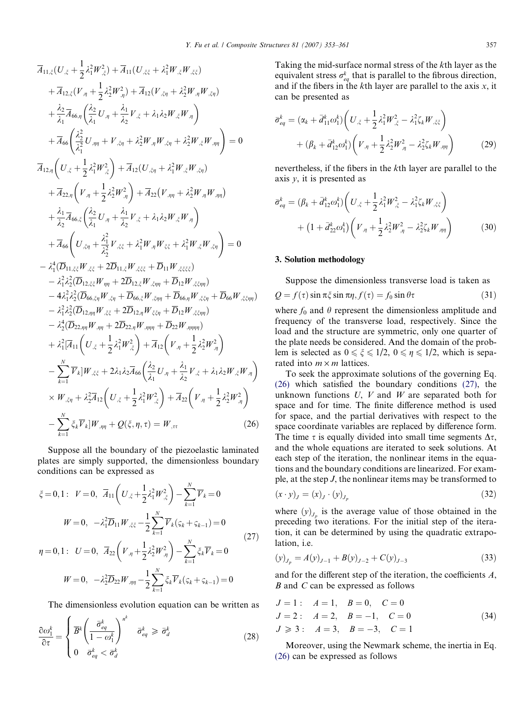$$
\overline{A}_{11,\xi}(U_{,\xi}+\frac{1}{2}\lambda_{1}^{2}W_{,\xi}^{2})+\overline{A}_{11}(U_{,\xi\xi}+\lambda_{1}^{2}W_{,\xi}W_{,\xi\xi})\n+\overline{A}_{12,\xi}(V_{,\eta}+\frac{1}{2}\lambda_{2}^{2}W_{,\eta}^{2})+\overline{A}_{12}(V_{,\xi\eta}+\lambda_{2}^{2}W_{,\eta}W_{,\xi\eta})\n+\frac{\lambda_{2}}{\lambda_{1}}\overline{A}_{66,\eta}\left(\frac{\lambda_{2}}{\lambda_{1}}U_{,\eta}+\frac{\lambda_{1}}{\lambda_{2}}V_{,\xi}+\lambda_{1}\lambda_{2}W_{,\xi}W_{,\eta}\right)\n+\overline{A}_{66}\left(\frac{\lambda_{2}^{2}}{\lambda_{1}^{2}}U_{,\eta\eta}+V_{,\xi\eta}+\lambda_{2}^{2}W_{,\eta}W_{,\xi\eta}+\lambda_{2}^{2}W_{,\xi}W_{,\eta\eta}\right)=0\n\overline{A}_{12,\eta}\left(U_{,\xi}+\frac{1}{2}\lambda_{1}^{2}W_{,\xi}^{2}\right)+\overline{A}_{12}(U_{,\xi\eta}+\lambda_{1}^{2}W_{,\xi}W_{,\xi\eta})\n+\overline{A}_{22,\eta}\left(V_{,\eta}+\frac{1}{2}\lambda_{2}^{2}W_{,\eta}^{2}\right)+\overline{A}_{22}(V_{,\eta\eta}+\lambda_{2}^{2}W_{,\eta}W_{,\eta\eta})\n+\frac{\lambda_{1}}{\lambda_{2}}\overline{A}_{66,\xi}\left(\frac{\lambda_{2}}{\lambda_{1}}U_{,\eta}+\frac{\lambda_{1}}{\lambda_{2}}V_{,\xi}+\lambda_{1}\lambda_{2}W_{,\xi}W_{,\eta}\right)\n+\overline{A}_{66}\left(U_{,\xi\eta}+\frac{\lambda_{1}^{2}}{\lambda_{2}^{2}}V_{,\xi\xi}+\lambda_{1}^{2}W_{,\eta}W_{\xi\xi}+\lambda_{1}^{2}W_{,\xi}W_{,\eta\eta}\right)\n+\overline{A}_{66}\left(U_{,\xi\eta}+\frac{\lambda_{1}^{2}}{\lambda_{2}^{2}}V_{,\xi\xi}+\lambda_{1}^{2}W_{,\eta}W_{\xi\xi}+\lambda_{1}^{2}W_{,\xi}W_{,\eta\eta}\right)=0\n-\lambda_{1}^{4}(\overline{D}_{
$$

Suppose all the boundary of the piezoelastic laminated plates are simply supported, the dimensionless boundary conditions can be expressed as

$$
\xi = 0, 1: \quad V = 0, \quad \overline{A}_{11} \left( U_{,\xi} + \frac{1}{2} \lambda_1^2 W_{,\xi}^2 \right) - \sum_{k=1}^N \overline{V}_k = 0
$$
\n
$$
W = 0, \quad -\lambda_1^2 \overline{D}_{11} W_{,\xi\xi} - \frac{1}{2} \sum_{k=1}^N \overline{V}_k (\varsigma_k + \varsigma_{k-1}) = 0
$$
\n
$$
\eta = 0, 1: \quad U = 0, \quad \overline{A}_{22} \left( V_{,\eta} + \frac{1}{2} \lambda_2^2 W_{,\eta}^2 \right) - \sum_{k=1}^N \xi_k \overline{V}_k = 0
$$
\n
$$
W = 0, \quad -\lambda_2^2 \overline{D}_{22} W_{,\eta\eta} - \frac{1}{2} \sum_{k=1}^N \xi_k \overline{V}_k (\varsigma_k + \varsigma_{k-1}) = 0
$$
\n
$$
(27)
$$

The dimensionless evolution equation can be written as

$$
\frac{\partial \omega_1^k}{\partial \tau} = \begin{cases} \overline{B}^k \left( \frac{\overline{\sigma}_{eq}^k}{1 - \omega_1^k} \right)^{n^k} & \overline{\sigma}_{eq}^k \geq \overline{\sigma}_d^k \\ 0 & \overline{\sigma}_{eq}^k < \overline{\sigma}_d^k \end{cases} \tag{28}
$$

Taking the mid-surface normal stress of the kth layer as the equivalent stress  $\sigma_{eq}^k$  that is parallel to the fibrous direction, and if the fibers in the  $k$ th layer are parallel to the axis  $x$ , it can be presented as

$$
\bar{\sigma}_{eq}^{k} = (\alpha_{k} + \bar{d}_{11}^{k} \omega_{1}^{k}) \left( U_{,\xi} + \frac{1}{2} \lambda_{1}^{2} W_{,\xi}^{2} - \lambda_{1}^{2} \zeta_{k} W_{,\xi\xi} \right) + (\beta_{k} + \bar{d}_{12}^{k} \omega_{1}^{k}) \left( V_{,\eta} + \frac{1}{2} \lambda_{2}^{2} W_{,\eta}^{2} - \lambda_{2}^{2} \zeta_{k} W_{,\eta\eta} \right)
$$
(29)

nevertheless, if the fibers in the kth layer are parallel to the axis  $y$ , it is presented as

$$
\bar{\sigma}_{eq}^{k} = (\beta_{k} + \bar{d}_{12}^{k} \omega_{1}^{k}) \left( U_{,\xi} + \frac{1}{2} \lambda_{1}^{2} W_{,\xi}^{2} - \lambda_{1}^{2} \zeta_{k} W_{,\xi\xi} \right) + \left( 1 + \bar{d}_{22}^{k} \omega_{1}^{k} \right) \left( V_{,\eta} + \frac{1}{2} \lambda_{2}^{2} W_{,\eta}^{2} - \lambda_{2}^{2} \zeta_{k} W_{,\eta\eta} \right)
$$
(30)

# 3. Solution methodology

Suppose the dimensionless transverse load is taken as

$$
Q = f(\tau) \sin \pi \xi \sin \pi \eta, f(\tau) = f_0 \sin \theta \tau \tag{31}
$$

where  $f_0$  and  $\theta$  represent the dimensionless amplitude and frequency of the transverse load, respectively. Since the load and the structure are symmetric, only one quarter of the plate needs be considered. And the domain of the problem is selected as  $0 \le \xi \le 1/2$ ,  $0 \le \eta \le 1/2$ , which is separated into  $m \times m$  lattices.

To seek the approximate solutions of the governing Eq. (26) which satisfied the boundary conditions (27), the unknown functions  $U, V$  and  $W$  are separated both for space and for time. The finite difference method is used for space, and the partial derivatives with respect to the space coordinate variables are replaced by difference form. The time  $\tau$  is equally divided into small time segments  $\Delta \tau$ , and the whole equations are iterated to seek solutions. At each step of the iteration, the nonlinear items in the equations and the boundary conditions are linearized. For example, at the step J, the nonlinear items may be transformed to

$$
(x \cdot y)_J = (x)_J \cdot (y)_{J_p} \tag{32}
$$

where  $(y)_{J_n}$  is the average value of those obtained in the preceding two iterations. For the initial step of the iteration, it can be determined by using the quadratic extrapolation, i.e.

$$
(y)_{J_p} = A(y)_{J-1} + B(y)_{J-2} + C(y)_{J-3}
$$
\n(33)

and for the different step of the iteration, the coefficients A, B and C can be expressed as follows

$$
J = 1: \quad A = 1, \quad B = 0, \quad C = 0
$$
  
\n
$$
J = 2: \quad A = 2, \quad B = -1, \quad C = 0
$$
  
\n
$$
J \ge 3: \quad A = 3, \quad B = -3, \quad C = 1
$$
\n(34)

Moreover, using the Newmark scheme, the inertia in Eq. (26) can be expressed as follows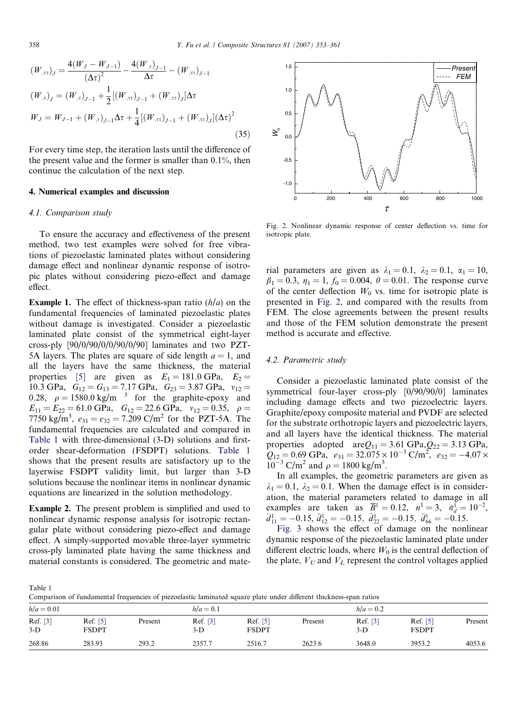$$
(W_{,\tau\tau})_J = \frac{4(W_J - W_{J-1})}{(\Delta \tau)^2} - \frac{4(W_{,\tau})_{J-1}}{\Delta \tau} - (W_{,\tau\tau})_{J-1}
$$
  

$$
(W_{,\tau})_J = (W_{,\tau})_{J-1} + \frac{1}{2}[(W_{,\tau\tau})_{J-1} + (W_{,\tau\tau})_J]\Delta \tau
$$
  

$$
W_J = W_{J-1} + (W_{,\tau})_{J-1}\Delta \tau + \frac{1}{4}[(W_{,\tau\tau})_{J-1} + (W_{,\tau\tau})_J](\Delta \tau)^2
$$
(35)

For every time step, the iteration lasts until the difference of the present value and the former is smaller than 0.1%, then continue the calculation of the next step.

# 4. Numerical examples and discussion

# 4.1. Comparison study

To ensure the accuracy and effectiveness of the present method, two test examples were solved for free vibrations of piezoelastic laminated plates without considering damage effect and nonlinear dynamic response of isotropic plates without considering piezo-effect and damage effect.

**Example 1.** The effect of thickness-span ratio  $(h/a)$  on the fundamental frequencies of laminated piezoelastic plates without damage is investigated. Consider a piezoelastic laminated plate consist of the symmetrical eight-layer cross-ply  $[90/0/90/0/90/0/90]$  laminates and two PZT-5A layers. The plates are square of side length  $a = 1$ , and all the layers have the same thickness, the material properties [\[5\]](#page-7-0) are given as  $E_1 = 181.0 \text{ GPa}$ ,  $E_2 =$ 10.3 GPa,  $G_{12} = G_{13} = 7.17$  GPa,  $G_{23} = 3.87$  GPa,  $v_{12} =$ 0.28,  $\rho = 1580.0 \text{ kg/m}^3$  for the graphite-epoxy and  $E_{11} = E_{22} = 61.0 \text{ GPa}, G_{12} = 22.6 \text{ GPa}, v_{12} = 0.35, \rho =$ 7750 kg/m<sup>3</sup>,  $e_{31} = e_{32} = 7.209$  C/m<sup>2</sup> for the PZT-5A. The fundamental frequencies are calculated and compared in Table 1 with three-dimensional (3-D) solutions and firstorder shear-deformation (FSDPT) solutions. Table 1 shows that the present results are satisfactory up to the layerwise FSDPT validity limit, but larger than 3-D solutions because the nonlinear items in nonlinear dynamic equations are linearized in the solution methodology.

Example 2. The present problem is simplified and used to nonlinear dynamic response analysis for isotropic rectangular plate without considering piezo-effect and damage effect. A simply-supported movable three-layer symmetric cross-ply laminated plate having the same thickness and material constants is considered. The geometric and mate-



Fig. 2. Nonlinear dynamic response of center deflection vs. time for isotropic plate.

rial parameters are given as  $\lambda_1 = 0.1$ ,  $\lambda_2 = 0.1$ ,  $\alpha_1 = 10$ ,  $\beta_1 = 0.3$ ,  $\eta_1 = 1$ ,  $f_0 = 0.004$ ,  $\theta = 0.01$ . The response curve of the center deflection  $W_0$  vs. time for isotropic plate is presented in Fig. 2, and compared with the results from FEM. The close agreements between the present results and those of the FEM solution demonstrate the present method is accurate and effective.

# 4.2. Parametric study

Consider a piezoelastic laminated plate consist of the symmetrical four-layer cross-ply [0/90/90/0] laminates including damage effects and two piezoelectric layers. Graphite/epoxy composite material and PVDF are selected for the substrate orthotropic layers and piezoelectric layers, and all layers have the identical thickness. The material properties adopted are  $Q_{11} = 3.61 \text{ GPa}, Q_{22} = 3.13 \text{ GPa},$  $Q_{12} = 0.69 \text{ GPa}, \ \ e_{31} = 32.075 \times 10^{-3} \text{ C/m}^2, \ \ e_{32} = -4.07 \times$  $10^{-3}$  C/m<sup>2</sup> and  $\rho = 1800$  kg/m<sup>3</sup>.

In all examples, the geometric parameters are given as  $\lambda_1 = 0.1$ ,  $\lambda_2 = 0.1$ . When the damage effect is in consideration, the material parameters related to damage in all examples are taken as  $\overline{B}^1 = 0.12$ ,  $n^1 = 3$ ,  $\overline{\sigma}_d^1 = 10^{-2}$ examples are taken as  $\overline{B}^1 = 0.12$ ,  $n^1 = 3$ ,  $\overline{\sigma}_d^1 = 10^{-2}$ ,<br>  $\overline{d}_{11}^1 = -0.15$ ,  $\overline{d}_{12}^1 = -0.15$ ,  $\overline{d}_{22}^1 = -0.15$ ,  $\overline{d}_{66}^1 = -0.15$ .

[Fig. 3](#page-6-0) shows the effect of damage on the nonlinear dynamic response of the piezoelastic laminated plate under different electric loads, where  $W_0$  is the central deflection of the plate,  $V_U$  and  $V_L$  represent the control voltages applied

Table 1

Comparison of fundamental frequencies of piezoelastic laminated square plate under different thickness-span ratios

| $h/a = 0.01$                    |                          |         | $h/a = 0.1$       |                          |         |                     | $h/a = 0.2$                |         |  |
|---------------------------------|--------------------------|---------|-------------------|--------------------------|---------|---------------------|----------------------------|---------|--|
| Ref. $\lceil 3 \rceil$<br>$3-D$ | Ref. [5]<br><b>FSDPT</b> | Present | Ref. $[3]$<br>3-D | Ref. [5]<br><b>FSDPT</b> | Present | Ref. $[3]$<br>$3-D$ | Ref. $[5]$<br><b>FSDPT</b> | Present |  |
| 268.86                          | 283.93                   | 293.2   | 2357.7            | 2516.7                   | 2623.6  | 3648.0              | 3953.2                     | 4053.6  |  |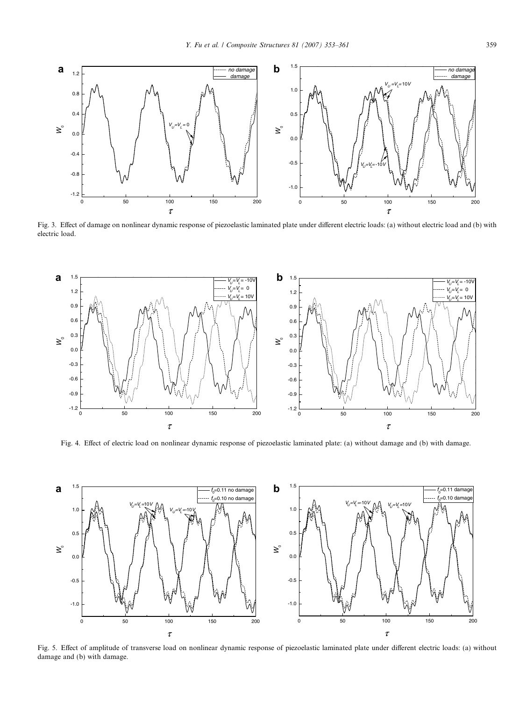<span id="page-6-0"></span>

Fig. 3. Effect of damage on nonlinear dynamic response of piezoelastic laminated plate under different electric loads: (a) without electric load and (b) with electric load.



Fig. 4. Effect of electric load on nonlinear dynamic response of piezoelastic laminated plate: (a) without damage and (b) with damage.



Fig. 5. Effect of amplitude of transverse load on nonlinear dynamic response of piezoelastic laminated plate under different electric loads: (a) without damage and (b) with damage.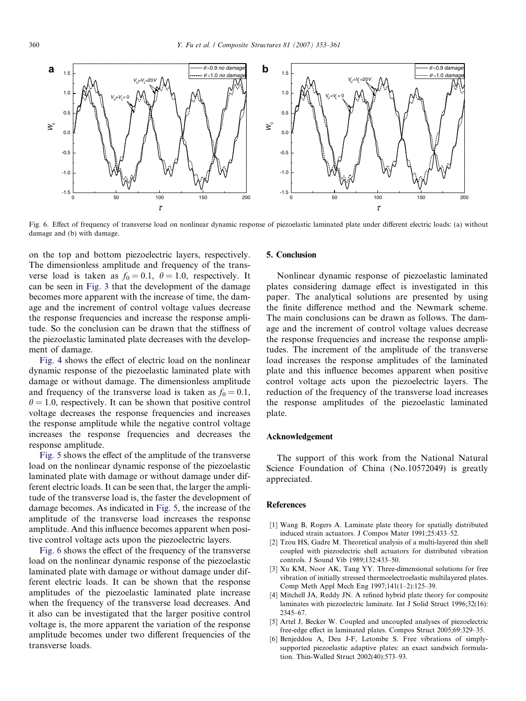<span id="page-7-0"></span>

Fig. 6. Effect of frequency of transverse load on nonlinear dynamic response of piezoelastic laminated plate under different electric loads: (a) without damage and (b) with damage.

on the top and bottom piezoelectric layers, respectively. The dimensionless amplitude and frequency of the transverse load is taken as  $f_0 = 0.1$ ,  $\theta = 1.0$ , respectively. It can be seen in [Fig. 3](#page-6-0) that the development of the damage becomes more apparent with the increase of time, the damage and the increment of control voltage values decrease the response frequencies and increase the response amplitude. So the conclusion can be drawn that the stiffness of the piezoelastic laminated plate decreases with the development of damage.

[Fig. 4](#page-6-0) shows the effect of electric load on the nonlinear dynamic response of the piezoelastic laminated plate with damage or without damage. The dimensionless amplitude and frequency of the transverse load is taken as  $f_0 = 0.1$ ,  $\theta = 1.0$ , respectively. It can be shown that positive control voltage decreases the response frequencies and increases the response amplitude while the negative control voltage increases the response frequencies and decreases the response amplitude.

[Fig. 5](#page-6-0) shows the effect of the amplitude of the transverse load on the nonlinear dynamic response of the piezoelastic laminated plate with damage or without damage under different electric loads. It can be seen that, the larger the amplitude of the transverse load is, the faster the development of damage becomes. As indicated in [Fig. 5](#page-6-0), the increase of the amplitude of the transverse load increases the response amplitude. And this influence becomes apparent when positive control voltage acts upon the piezoelectric layers.

Fig. 6 shows the effect of the frequency of the transverse load on the nonlinear dynamic response of the piezoelastic laminated plate with damage or without damage under different electric loads. It can be shown that the response amplitudes of the piezoelastic laminated plate increase when the frequency of the transverse load decreases. And it also can be investigated that the larger positive control voltage is, the more apparent the variation of the response amplitude becomes under two different frequencies of the transverse loads.

# 5. Conclusion

Nonlinear dynamic response of piezoelastic laminated plates considering damage effect is investigated in this paper. The analytical solutions are presented by using the finite difference method and the Newmark scheme. The main conclusions can be drawn as follows. The damage and the increment of control voltage values decrease the response frequencies and increase the response amplitudes. The increment of the amplitude of the transverse load increases the response amplitudes of the laminated plate and this influence becomes apparent when positive control voltage acts upon the piezoelectric layers. The reduction of the frequency of the transverse load increases the response amplitudes of the piezoelastic laminated plate.

# Acknowledgement

The support of this work from the National Natural Science Foundation of China (No.10572049) is greatly appreciated.

# References

- [1] Wang B, Rogers A. Laminate plate theory for spatially distributed induced strain actuators. J Compos Mater 1991;25:433–52.
- [2] Tzou HS, Gadre M. Theoretical analysis of a multi-layered thin shell coupled with piezoelectric shell actuators for distributed vibration controls. J Sound Vib 1989;132:433–50.
- [3] Xu KM, Noor AK, Tang YY. Three-dimensional solutions for free vibration of initially stressed thermoelectroelastic multilayered plates. Comp Meth Appl Mech Eng 1997;141(1–2):125–39.
- [4] Mitchell JA, Reddy JN. A refined hybrid plate theory for composite laminates with piezoelectric laminate. Int J Solid Struct 1996;32(16): 2345–67.
- [5] Artel J, Becker W. Coupled and uncoupled analyses of piezoelectric free-edge effect in laminated plates. Compos Struct 2005;69:329–35.
- [6] Benjeddou A, Deu J-F, Letombe S. Free vibrations of simplysupported piezoelastic adaptive plates: an exact sandwich formulation. Thin-Walled Struct 2002(40):573–93.